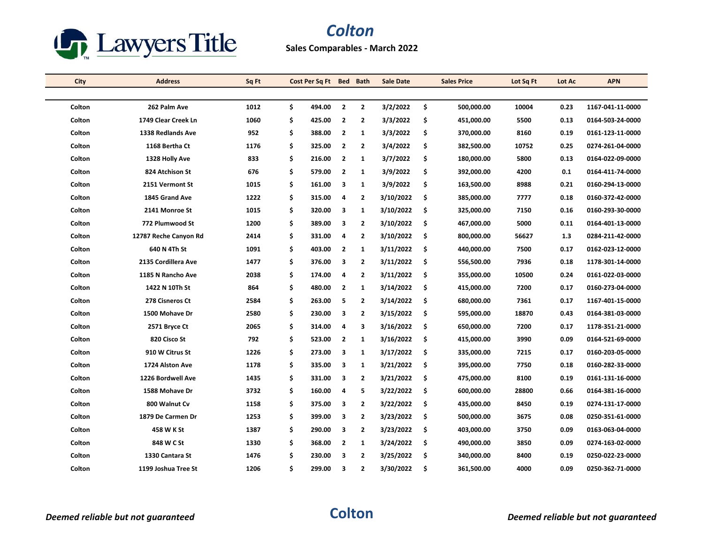

## *Colton*

## **Sales Comparables - March 2022**

| <b>City</b> | <b>Address</b>        | Sq Ft | Cost Per Sq Ft Bed |                         | <b>Bath</b>    | <b>Sale Date</b> |    | <b>Sales Price</b> | Lot Sq Ft | Lot Ac | <b>APN</b>       |
|-------------|-----------------------|-------|--------------------|-------------------------|----------------|------------------|----|--------------------|-----------|--------|------------------|
|             |                       |       |                    |                         |                |                  |    |                    |           |        |                  |
| Colton      | 262 Palm Ave          | 1012  | \$<br>494.00       | $\overline{\mathbf{2}}$ | $\overline{2}$ | 3/2/2022         | \$ | 500,000.00         | 10004     | 0.23   | 1167-041-11-0000 |
| Colton      | 1749 Clear Creek Ln   | 1060  | \$<br>425.00       | $\overline{2}$          | $\overline{2}$ | 3/3/2022         | \$ | 451,000.00         | 5500      | 0.13   | 0164-503-24-0000 |
| Colton      | 1338 Redlands Ave     | 952   | \$<br>388.00       | $\overline{2}$          | $\mathbf{1}$   | 3/3/2022         | \$ | 370,000.00         | 8160      | 0.19   | 0161-123-11-0000 |
| Colton      | 1168 Bertha Ct        | 1176  | \$<br>325.00       | $\overline{2}$          | $\overline{2}$ | 3/4/2022         | \$ | 382,500.00         | 10752     | 0.25   | 0274-261-04-0000 |
| Colton      | 1328 Holly Ave        | 833   | \$<br>216.00       | $\overline{2}$          | 1              | 3/7/2022         | \$ | 180,000.00         | 5800      | 0.13   | 0164-022-09-0000 |
| Colton      | 824 Atchison St       | 676   | \$<br>579.00       | $\overline{2}$          | $\mathbf{1}$   | 3/9/2022         | \$ | 392,000.00         | 4200      | 0.1    | 0164-411-74-0000 |
| Colton      | 2151 Vermont St       | 1015  | \$<br>161.00       | 3                       | $\mathbf{1}$   | 3/9/2022         | \$ | 163,500.00         | 8988      | 0.21   | 0160-294-13-0000 |
| Colton      | 1845 Grand Ave        | 1222  | \$<br>315.00       | 4                       | $\overline{2}$ | 3/10/2022        | \$ | 385,000.00         | 7777      | 0.18   | 0160-372-42-0000 |
| Colton      | 2141 Monroe St        | 1015  | \$<br>320.00       | 3                       | $\mathbf{1}$   | 3/10/2022        | \$ | 325,000.00         | 7150      | 0.16   | 0160-293-30-0000 |
| Colton      | 772 Plumwood St       | 1200  | \$<br>389.00       | 3                       | $\overline{2}$ | 3/10/2022        | \$ | 467,000.00         | 5000      | 0.11   | 0164-401-13-0000 |
| Colton      | 12787 Reche Canyon Rd | 2414  | \$<br>331.00       | 4                       | $\overline{2}$ | 3/10/2022        | \$ | 800,000.00         | 56627     | 1.3    | 0284-211-42-0000 |
| Colton      | 640 N 4Th St          | 1091  | \$<br>403.00       | $\overline{2}$          | 1              | 3/11/2022        | \$ | 440,000.00         | 7500      | 0.17   | 0162-023-12-0000 |
| Colton      | 2135 Cordillera Ave   | 1477  | \$<br>376.00       | 3                       | 2              | 3/11/2022        | \$ | 556,500.00         | 7936      | 0.18   | 1178-301-14-0000 |
| Colton      | 1185 N Rancho Ave     | 2038  | \$<br>174.00       | 4                       | $\overline{2}$ | 3/11/2022        | \$ | 355,000.00         | 10500     | 0.24   | 0161-022-03-0000 |
| Colton      | 1422 N 10Th St        | 864   | \$<br>480.00       | $\overline{2}$          | $\mathbf{1}$   | 3/14/2022        | \$ | 415,000.00         | 7200      | 0.17   | 0160-273-04-0000 |
| Colton      | 278 Cisneros Ct       | 2584  | \$<br>263.00       | 5                       | $\mathbf{2}$   | 3/14/2022        | \$ | 680,000.00         | 7361      | 0.17   | 1167-401-15-0000 |
| Colton      | 1500 Mohave Dr        | 2580  | \$<br>230.00       | 3                       | $\overline{2}$ | 3/15/2022        | \$ | 595,000.00         | 18870     | 0.43   | 0164-381-03-0000 |
| Colton      | 2571 Bryce Ct         | 2065  | \$<br>314.00       | 4                       | з              | 3/16/2022        | \$ | 650,000.00         | 7200      | 0.17   | 1178-351-21-0000 |
| Colton      | 820 Cisco St          | 792   | \$<br>523.00       | $\overline{2}$          | 1              | 3/16/2022        | \$ | 415,000.00         | 3990      | 0.09   | 0164-521-69-0000 |
| Colton      | 910 W Citrus St       | 1226  | \$<br>273.00       | 3                       | $\mathbf{1}$   | 3/17/2022        | \$ | 335,000.00         | 7215      | 0.17   | 0160-203-05-0000 |
| Colton      | 1724 Alston Ave       | 1178  | \$<br>335.00       | 3                       | $\mathbf{1}$   | 3/21/2022        | \$ | 395,000.00         | 7750      | 0.18   | 0160-282-33-0000 |
| Colton      | 1226 Bordwell Ave     | 1435  | \$<br>331.00       | 3                       | $\overline{2}$ | 3/21/2022        | \$ | 475,000.00         | 8100      | 0.19   | 0161-131-16-0000 |
| Colton      | 1588 Mohave Dr        | 3732  | \$<br>160.00       | 4                       | 5              | 3/22/2022        | \$ | 600,000.00         | 28800     | 0.66   | 0164-381-16-0000 |
| Colton      | 800 Walnut Cv         | 1158  | \$<br>375.00       | 3                       | 2              | 3/22/2022        | \$ | 435,000.00         | 8450      | 0.19   | 0274-131-17-0000 |
| Colton      | 1879 De Carmen Dr     | 1253  | \$<br>399.00       | 3                       | $\overline{2}$ | 3/23/2022        | \$ | 500,000.00         | 3675      | 0.08   | 0250-351-61-0000 |
| Colton      | 458 W K St            | 1387  | \$<br>290.00       | 3                       | $\overline{2}$ | 3/23/2022        | \$ | 403,000.00         | 3750      | 0.09   | 0163-063-04-0000 |
| Colton      | 848 W C St            | 1330  | \$<br>368.00       | $\overline{2}$          | 1              | 3/24/2022        | \$ | 490,000.00         | 3850      | 0.09   | 0274-163-02-0000 |
| Colton      | 1330 Cantara St       | 1476  | \$<br>230.00       | 3                       | $\overline{2}$ | 3/25/2022        | \$ | 340,000.00         | 8400      | 0.19   | 0250-022-23-0000 |
| Colton      | 1199 Joshua Tree St   | 1206  | \$<br>299.00       | 3                       | $\overline{2}$ | 3/30/2022        | Ŝ. | 361,500.00         | 4000      | 0.09   | 0250-362-71-0000 |